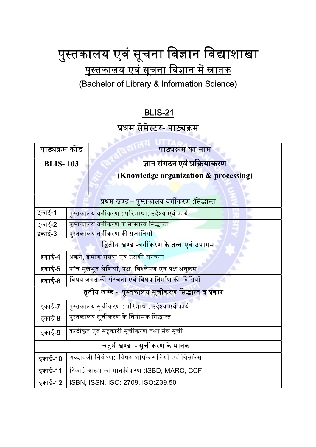## <u>पुस्तकालय एवं सूचना विज्ञान विद्याशाखा</u> <u>पुस्तकालय एवं सूचना विज्ञान में स्नातक</u> (Bachelor of Library & Information Science)

## BLIS-21

## प्रथम सेमेस्टर- पाठ्यक्रम

| पाठ्यक्रम कोड                                      |                                                                | पाठ्यक्रम का नाम                      |
|----------------------------------------------------|----------------------------------------------------------------|---------------------------------------|
| <b>BLIS-103</b>                                    |                                                                | ज्ञान संगठन एवं प्रक्रियाकरण          |
|                                                    |                                                                | (Knowledge organization & processing) |
|                                                    |                                                                |                                       |
| <u>प्रथम खण्ड – पुस्तकालय वर्गीकरण :सिद्धान्त</u>  |                                                                |                                       |
| इकाई-1                                             | पुस्तकालय <mark>वर्ग</mark> ीकरण : परिभाषा, उद्देश्य एवं कार्य |                                       |
| इकाई-2                                             | पुस्तकालय वर्गीकरण के सामान्य सिद्धान्त                        |                                       |
| इकाई-3                                             | पुस्तकालय वर्गीकरण की प्रजातियाँ                               |                                       |
| द्वितीय खण्ड -वर्गीकरण के तत्व एवं उपागम           |                                                                |                                       |
| इकाई-4                                             | अंकन, क्रमांक संख्या एवं उसकी संरचना                           |                                       |
| इकाई-5                                             | पाँच मूलभूत श्रेणियाँ, पक्ष, विश्लेषण एवं पक्ष अनुक्रम         |                                       |
| इकाई-6                                             | विषय जगत की संरचना एवं विषय निर्माण की विधियाँ                 |                                       |
| तृतीय खण्ड -  पुस्तकालय सूचीकरण सिद्धान्त व प्रकार |                                                                |                                       |
| इकाई-7                                             | पुस्तकालय सूचीकरण : परिभाषा, उद्देश्य एवं कार्य                |                                       |
| इकाई-8                                             | पुस्तकालय सूचीकरण के नियामक सिद्धान्त                          |                                       |
| इकाई-9                                             | केन्द्रीकृत एवं सहकारी सूचीकरण तथा संघ सूची                    |                                       |
| चतुर्थ खण्ड  - सूचीकरण के मानक                     |                                                                |                                       |
| इकाई-10                                            | शब्दावली नियंत्रण: विषय शीर्षक सूचियाँ एवं थिसॉरस              |                                       |
| इकाई-11                                            | रिकार्ड आरूप का मानकीकरण :ISBD, MARC, CCF                      |                                       |
| इकाई-12                                            | ISBN, ISSN, ISO: 2709, ISO:Z39.50                              |                                       |